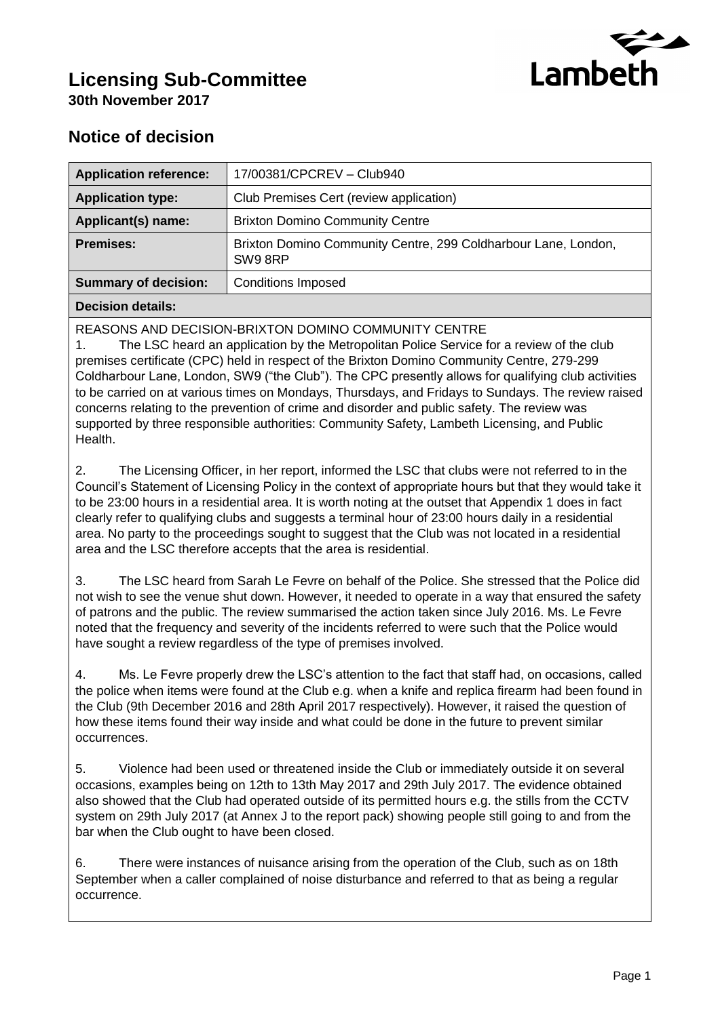

# **Licensing Sub-Committee 30th November 2017**

## **Notice of decision**

| <b>Application reference:</b> | 17/00381/CPCREV - Club940                                                |  |
|-------------------------------|--------------------------------------------------------------------------|--|
| <b>Application type:</b>      | Club Premises Cert (review application)                                  |  |
| Applicant(s) name:            | <b>Brixton Domino Community Centre</b>                                   |  |
| <b>Premises:</b>              | Brixton Domino Community Centre, 299 Coldharbour Lane, London,<br>SW98RP |  |
| <b>Summary of decision:</b>   | <b>Conditions Imposed</b>                                                |  |
|                               |                                                                          |  |

#### **Decision details:**

REASONS AND DECISION-BRIXTON DOMINO COMMUNITY CENTRE

1. The LSC heard an application by the Metropolitan Police Service for a review of the club premises certificate (CPC) held in respect of the Brixton Domino Community Centre, 279-299 Coldharbour Lane, London, SW9 ("the Club"). The CPC presently allows for qualifying club activities to be carried on at various times on Mondays, Thursdays, and Fridays to Sundays. The review raised concerns relating to the prevention of crime and disorder and public safety. The review was supported by three responsible authorities: Community Safety, Lambeth Licensing, and Public Health.

2. The Licensing Officer, in her report, informed the LSC that clubs were not referred to in the Council's Statement of Licensing Policy in the context of appropriate hours but that they would take it to be 23:00 hours in a residential area. It is worth noting at the outset that Appendix 1 does in fact clearly refer to qualifying clubs and suggests a terminal hour of 23:00 hours daily in a residential area. No party to the proceedings sought to suggest that the Club was not located in a residential area and the LSC therefore accepts that the area is residential.

3. The LSC heard from Sarah Le Fevre on behalf of the Police. She stressed that the Police did not wish to see the venue shut down. However, it needed to operate in a way that ensured the safety of patrons and the public. The review summarised the action taken since July 2016. Ms. Le Fevre noted that the frequency and severity of the incidents referred to were such that the Police would have sought a review regardless of the type of premises involved.

4. Ms. Le Fevre properly drew the LSC's attention to the fact that staff had, on occasions, called the police when items were found at the Club e.g. when a knife and replica firearm had been found in the Club (9th December 2016 and 28th April 2017 respectively). However, it raised the question of how these items found their way inside and what could be done in the future to prevent similar occurrences.

5. Violence had been used or threatened inside the Club or immediately outside it on several occasions, examples being on 12th to 13th May 2017 and 29th July 2017. The evidence obtained also showed that the Club had operated outside of its permitted hours e.g. the stills from the CCTV system on 29th July 2017 (at Annex J to the report pack) showing people still going to and from the bar when the Club ought to have been closed.

6. There were instances of nuisance arising from the operation of the Club, such as on 18th September when a caller complained of noise disturbance and referred to that as being a regular occurrence.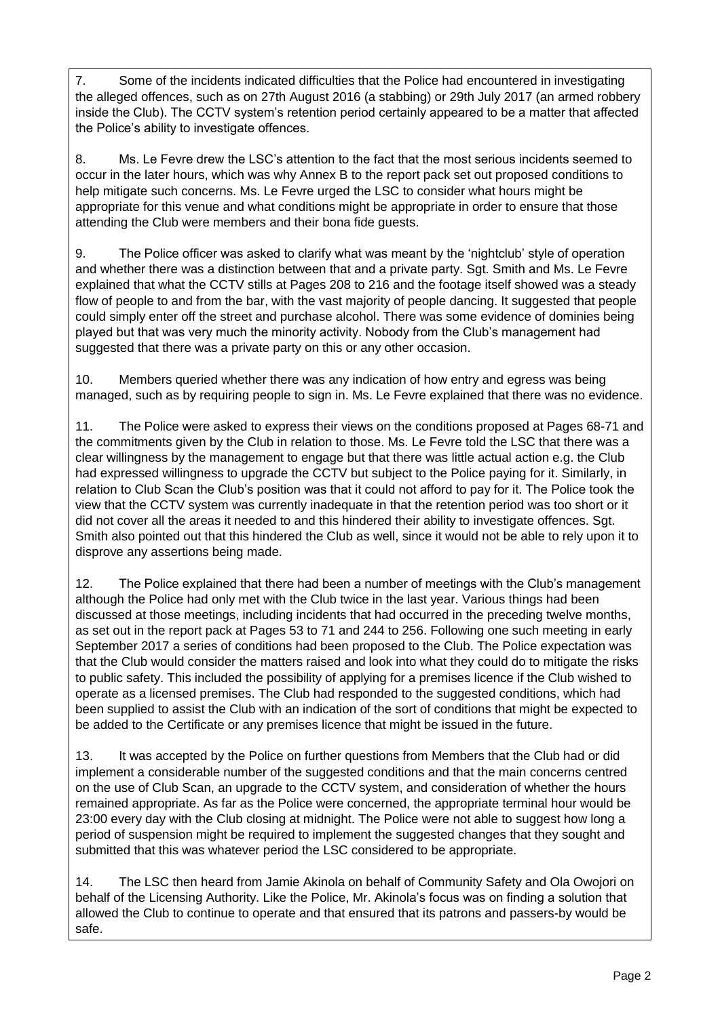7. Some of the incidents indicated difficulties that the Police had encountered in investigating the alleged offences, such as on 27th August 2016 (a stabbing) or 29th July 2017 (an armed robbery inside the Club). The CCTV system's retention period certainly appeared to be a matter that affected the Police's ability to investigate offences.

8. Ms. Le Fevre drew the LSC's attention to the fact that the most serious incidents seemed to occur in the later hours, which was why Annex B to the report pack set out proposed conditions to help mitigate such concerns. Ms. Le Fevre urged the LSC to consider what hours might be appropriate for this venue and what conditions might be appropriate in order to ensure that those attending the Club were members and their bona fide guests.

9. The Police officer was asked to clarify what was meant by the 'nightclub' style of operation and whether there was a distinction between that and a private party. Sgt. Smith and Ms. Le Fevre explained that what the CCTV stills at Pages 208 to 216 and the footage itself showed was a steady flow of people to and from the bar, with the vast majority of people dancing. It suggested that people could simply enter off the street and purchase alcohol. There was some evidence of dominies being played but that was very much the minority activity. Nobody from the Club's management had suggested that there was a private party on this or any other occasion.

10. Members queried whether there was any indication of how entry and egress was being managed, such as by requiring people to sign in. Ms. Le Fevre explained that there was no evidence.

11. The Police were asked to express their views on the conditions proposed at Pages 68-71 and the commitments given by the Club in relation to those. Ms. Le Fevre told the LSC that there was a clear willingness by the management to engage but that there was little actual action e.g. the Club had expressed willingness to upgrade the CCTV but subject to the Police paying for it. Similarly, in relation to Club Scan the Club's position was that it could not afford to pay for it. The Police took the view that the CCTV system was currently inadequate in that the retention period was too short or it did not cover all the areas it needed to and this hindered their ability to investigate offences. Sgt. Smith also pointed out that this hindered the Club as well, since it would not be able to rely upon it to disprove any assertions being made.

12. The Police explained that there had been a number of meetings with the Club's management although the Police had only met with the Club twice in the last year. Various things had been discussed at those meetings, including incidents that had occurred in the preceding twelve months, as set out in the report pack at Pages 53 to 71 and 244 to 256. Following one such meeting in early September 2017 a series of conditions had been proposed to the Club. The Police expectation was that the Club would consider the matters raised and look into what they could do to mitigate the risks to public safety. This included the possibility of applying for a premises licence if the Club wished to operate as a licensed premises. The Club had responded to the suggested conditions, which had been supplied to assist the Club with an indication of the sort of conditions that might be expected to be added to the Certificate or any premises licence that might be issued in the future.

13. It was accepted by the Police on further questions from Members that the Club had or did implement a considerable number of the suggested conditions and that the main concerns centred on the use of Club Scan, an upgrade to the CCTV system, and consideration of whether the hours remained appropriate. As far as the Police were concerned, the appropriate terminal hour would be 23:00 every day with the Club closing at midnight. The Police were not able to suggest how long a period of suspension might be required to implement the suggested changes that they sought and submitted that this was whatever period the LSC considered to be appropriate.

14. The LSC then heard from Jamie Akinola on behalf of Community Safety and Ola Owojori on behalf of the Licensing Authority. Like the Police, Mr. Akinola's focus was on finding a solution that allowed the Club to continue to operate and that ensured that its patrons and passers-by would be safe.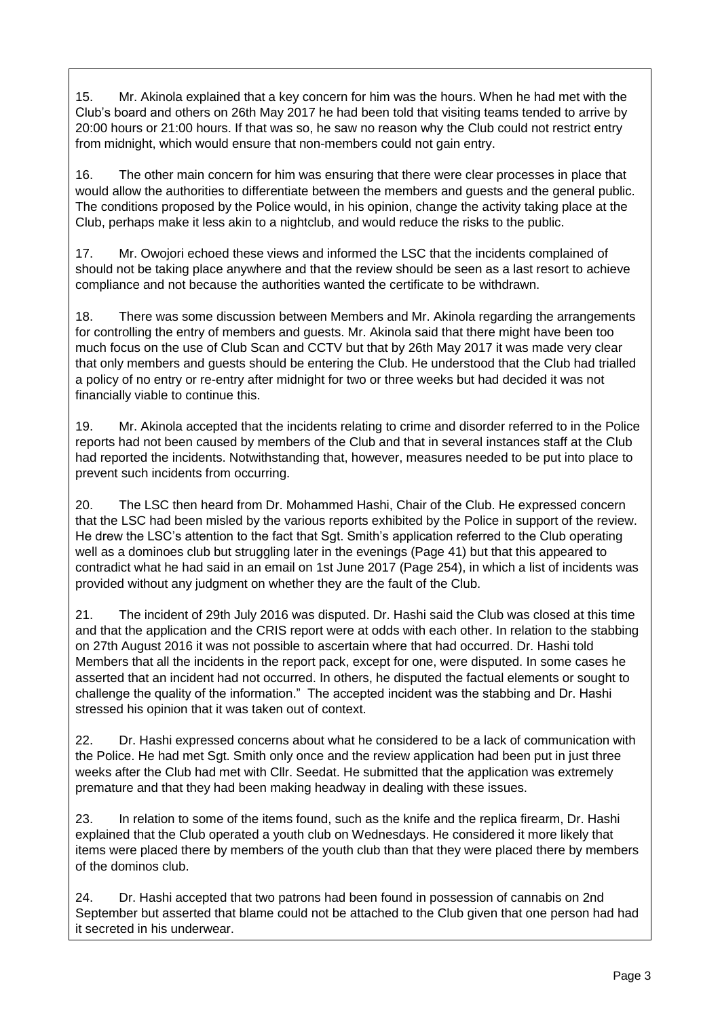15. Mr. Akinola explained that a key concern for him was the hours. When he had met with the Club's board and others on 26th May 2017 he had been told that visiting teams tended to arrive by 20:00 hours or 21:00 hours. If that was so, he saw no reason why the Club could not restrict entry from midnight, which would ensure that non-members could not gain entry.

16. The other main concern for him was ensuring that there were clear processes in place that would allow the authorities to differentiate between the members and guests and the general public. The conditions proposed by the Police would, in his opinion, change the activity taking place at the Club, perhaps make it less akin to a nightclub, and would reduce the risks to the public.

17. Mr. Owojori echoed these views and informed the LSC that the incidents complained of should not be taking place anywhere and that the review should be seen as a last resort to achieve compliance and not because the authorities wanted the certificate to be withdrawn.

18. There was some discussion between Members and Mr. Akinola regarding the arrangements for controlling the entry of members and guests. Mr. Akinola said that there might have been too much focus on the use of Club Scan and CCTV but that by 26th May 2017 it was made very clear that only members and guests should be entering the Club. He understood that the Club had trialled a policy of no entry or re-entry after midnight for two or three weeks but had decided it was not financially viable to continue this.

19. Mr. Akinola accepted that the incidents relating to crime and disorder referred to in the Police reports had not been caused by members of the Club and that in several instances staff at the Club had reported the incidents. Notwithstanding that, however, measures needed to be put into place to prevent such incidents from occurring.

20. The LSC then heard from Dr. Mohammed Hashi, Chair of the Club. He expressed concern that the LSC had been misled by the various reports exhibited by the Police in support of the review. He drew the LSC's attention to the fact that Sgt. Smith's application referred to the Club operating well as a dominoes club but struggling later in the evenings (Page 41) but that this appeared to contradict what he had said in an email on 1st June 2017 (Page 254), in which a list of incidents was provided without any judgment on whether they are the fault of the Club.

21. The incident of 29th July 2016 was disputed. Dr. Hashi said the Club was closed at this time and that the application and the CRIS report were at odds with each other. In relation to the stabbing on 27th August 2016 it was not possible to ascertain where that had occurred. Dr. Hashi told Members that all the incidents in the report pack, except for one, were disputed. In some cases he asserted that an incident had not occurred. In others, he disputed the factual elements or sought to challenge the quality of the information." The accepted incident was the stabbing and Dr. Hashi stressed his opinion that it was taken out of context.

22. Dr. Hashi expressed concerns about what he considered to be a lack of communication with the Police. He had met Sgt. Smith only once and the review application had been put in just three weeks after the Club had met with Cllr. Seedat. He submitted that the application was extremely premature and that they had been making headway in dealing with these issues.

23. In relation to some of the items found, such as the knife and the replica firearm, Dr. Hashi explained that the Club operated a youth club on Wednesdays. He considered it more likely that items were placed there by members of the youth club than that they were placed there by members of the dominos club.

24. Dr. Hashi accepted that two patrons had been found in possession of cannabis on 2nd September but asserted that blame could not be attached to the Club given that one person had had it secreted in his underwear.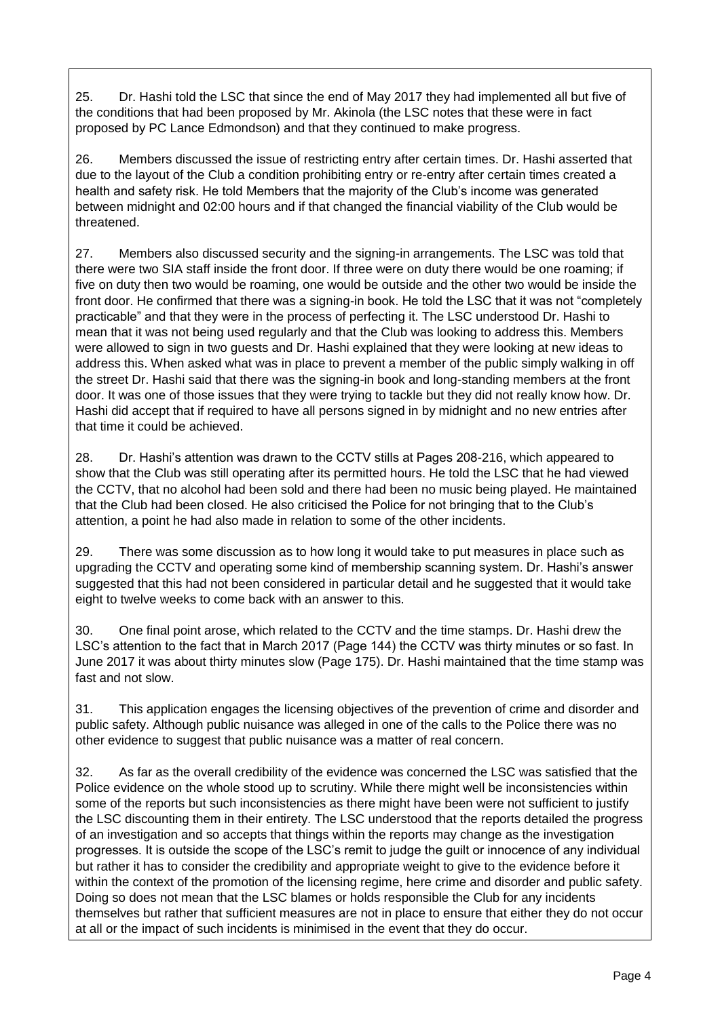25. Dr. Hashi told the LSC that since the end of May 2017 they had implemented all but five of the conditions that had been proposed by Mr. Akinola (the LSC notes that these were in fact proposed by PC Lance Edmondson) and that they continued to make progress.

26. Members discussed the issue of restricting entry after certain times. Dr. Hashi asserted that due to the layout of the Club a condition prohibiting entry or re-entry after certain times created a health and safety risk. He told Members that the majority of the Club's income was generated between midnight and 02:00 hours and if that changed the financial viability of the Club would be threatened.

27. Members also discussed security and the signing-in arrangements. The LSC was told that there were two SIA staff inside the front door. If three were on duty there would be one roaming; if five on duty then two would be roaming, one would be outside and the other two would be inside the front door. He confirmed that there was a signing-in book. He told the LSC that it was not "completely practicable" and that they were in the process of perfecting it. The LSC understood Dr. Hashi to mean that it was not being used regularly and that the Club was looking to address this. Members were allowed to sign in two guests and Dr. Hashi explained that they were looking at new ideas to address this. When asked what was in place to prevent a member of the public simply walking in off the street Dr. Hashi said that there was the signing-in book and long-standing members at the front door. It was one of those issues that they were trying to tackle but they did not really know how. Dr. Hashi did accept that if required to have all persons signed in by midnight and no new entries after that time it could be achieved.

28. Dr. Hashi's attention was drawn to the CCTV stills at Pages 208-216, which appeared to show that the Club was still operating after its permitted hours. He told the LSC that he had viewed the CCTV, that no alcohol had been sold and there had been no music being played. He maintained that the Club had been closed. He also criticised the Police for not bringing that to the Club's attention, a point he had also made in relation to some of the other incidents.

29. There was some discussion as to how long it would take to put measures in place such as upgrading the CCTV and operating some kind of membership scanning system. Dr. Hashi's answer suggested that this had not been considered in particular detail and he suggested that it would take eight to twelve weeks to come back with an answer to this.

30. One final point arose, which related to the CCTV and the time stamps. Dr. Hashi drew the LSC's attention to the fact that in March 2017 (Page 144) the CCTV was thirty minutes or so fast. In June 2017 it was about thirty minutes slow (Page 175). Dr. Hashi maintained that the time stamp was fast and not slow.

31. This application engages the licensing objectives of the prevention of crime and disorder and public safety. Although public nuisance was alleged in one of the calls to the Police there was no other evidence to suggest that public nuisance was a matter of real concern.

32. As far as the overall credibility of the evidence was concerned the LSC was satisfied that the Police evidence on the whole stood up to scrutiny. While there might well be inconsistencies within some of the reports but such inconsistencies as there might have been were not sufficient to justify the LSC discounting them in their entirety. The LSC understood that the reports detailed the progress of an investigation and so accepts that things within the reports may change as the investigation progresses. It is outside the scope of the LSC's remit to judge the guilt or innocence of any individual but rather it has to consider the credibility and appropriate weight to give to the evidence before it within the context of the promotion of the licensing regime, here crime and disorder and public safety. Doing so does not mean that the LSC blames or holds responsible the Club for any incidents themselves but rather that sufficient measures are not in place to ensure that either they do not occur at all or the impact of such incidents is minimised in the event that they do occur.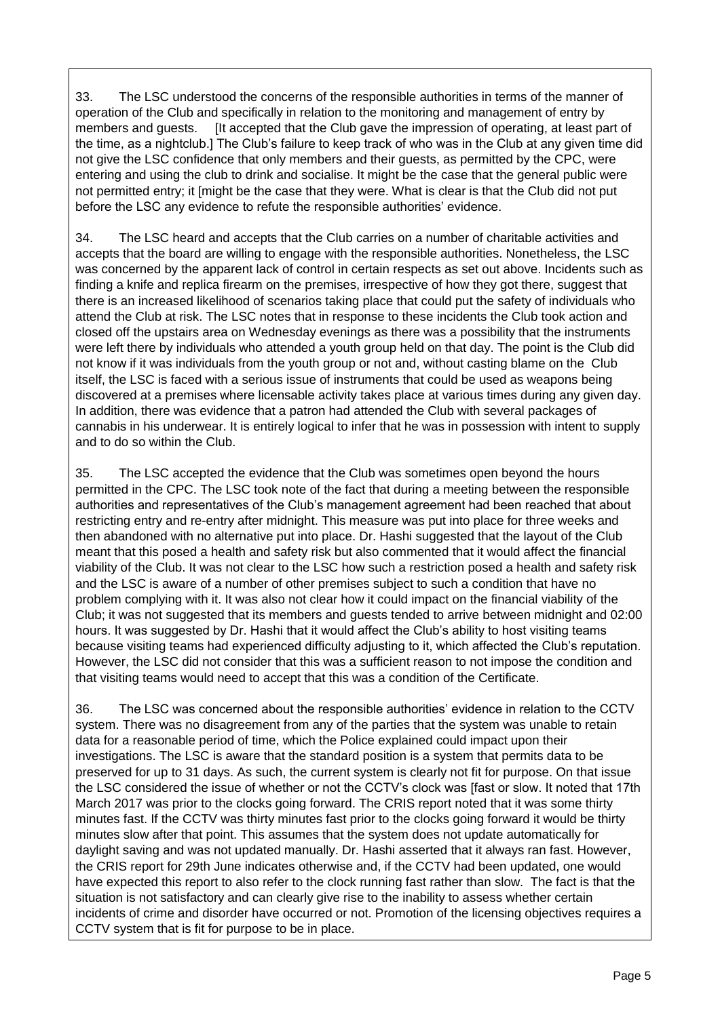33. The LSC understood the concerns of the responsible authorities in terms of the manner of operation of the Club and specifically in relation to the monitoring and management of entry by members and guests. [It accepted that the Club gave the impression of operating, at least part of the time, as a nightclub.] The Club's failure to keep track of who was in the Club at any given time did not give the LSC confidence that only members and their guests, as permitted by the CPC, were entering and using the club to drink and socialise. It might be the case that the general public were not permitted entry; it [might be the case that they were. What is clear is that the Club did not put before the LSC any evidence to refute the responsible authorities' evidence.

34. The LSC heard and accepts that the Club carries on a number of charitable activities and accepts that the board are willing to engage with the responsible authorities. Nonetheless, the LSC was concerned by the apparent lack of control in certain respects as set out above. Incidents such as finding a knife and replica firearm on the premises, irrespective of how they got there, suggest that there is an increased likelihood of scenarios taking place that could put the safety of individuals who attend the Club at risk. The LSC notes that in response to these incidents the Club took action and closed off the upstairs area on Wednesday evenings as there was a possibility that the instruments were left there by individuals who attended a youth group held on that day. The point is the Club did not know if it was individuals from the youth group or not and, without casting blame on the Club itself, the LSC is faced with a serious issue of instruments that could be used as weapons being discovered at a premises where licensable activity takes place at various times during any given day. In addition, there was evidence that a patron had attended the Club with several packages of cannabis in his underwear. It is entirely logical to infer that he was in possession with intent to supply and to do so within the Club.

35. The LSC accepted the evidence that the Club was sometimes open beyond the hours permitted in the CPC. The LSC took note of the fact that during a meeting between the responsible authorities and representatives of the Club's management agreement had been reached that about restricting entry and re-entry after midnight. This measure was put into place for three weeks and then abandoned with no alternative put into place. Dr. Hashi suggested that the layout of the Club meant that this posed a health and safety risk but also commented that it would affect the financial viability of the Club. It was not clear to the LSC how such a restriction posed a health and safety risk and the LSC is aware of a number of other premises subject to such a condition that have no problem complying with it. It was also not clear how it could impact on the financial viability of the Club; it was not suggested that its members and guests tended to arrive between midnight and 02:00 hours. It was suggested by Dr. Hashi that it would affect the Club's ability to host visiting teams because visiting teams had experienced difficulty adjusting to it, which affected the Club's reputation. However, the LSC did not consider that this was a sufficient reason to not impose the condition and that visiting teams would need to accept that this was a condition of the Certificate.

36. The LSC was concerned about the responsible authorities' evidence in relation to the CCTV system. There was no disagreement from any of the parties that the system was unable to retain data for a reasonable period of time, which the Police explained could impact upon their investigations. The LSC is aware that the standard position is a system that permits data to be preserved for up to 31 days. As such, the current system is clearly not fit for purpose. On that issue the LSC considered the issue of whether or not the CCTV's clock was [fast or slow. It noted that 17th March 2017 was prior to the clocks going forward. The CRIS report noted that it was some thirty minutes fast. If the CCTV was thirty minutes fast prior to the clocks going forward it would be thirty minutes slow after that point. This assumes that the system does not update automatically for daylight saving and was not updated manually. Dr. Hashi asserted that it always ran fast. However, the CRIS report for 29th June indicates otherwise and, if the CCTV had been updated, one would have expected this report to also refer to the clock running fast rather than slow. The fact is that the situation is not satisfactory and can clearly give rise to the inability to assess whether certain incidents of crime and disorder have occurred or not. Promotion of the licensing objectives requires a CCTV system that is fit for purpose to be in place.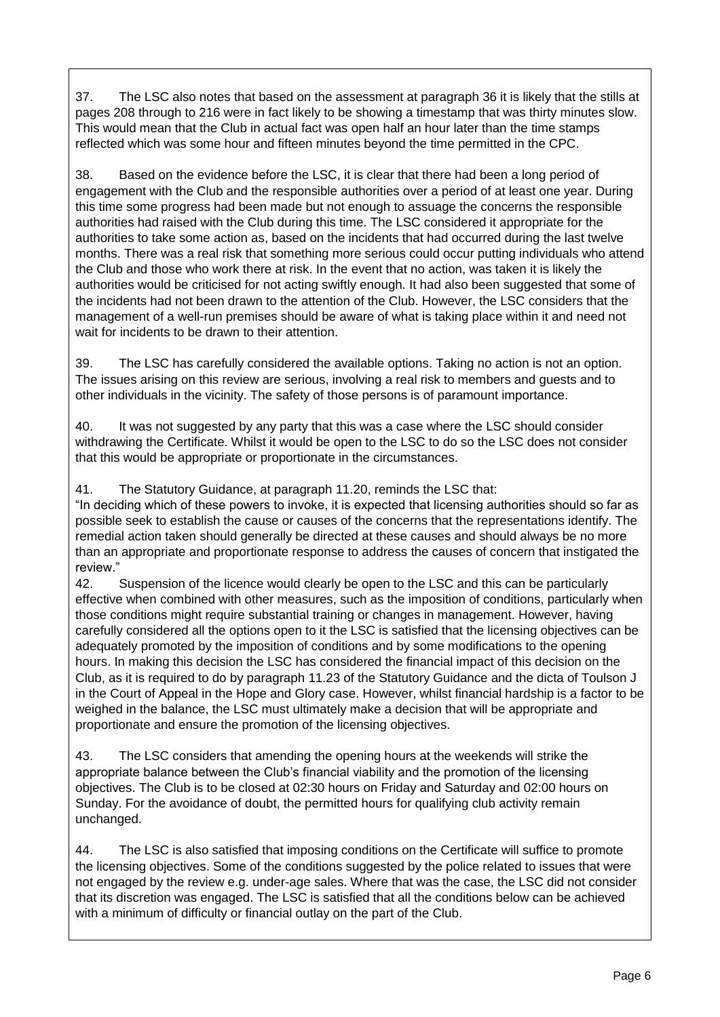37. The LSC also notes that based on the assessment at paragraph 36 it is likely that the stills at pages 208 through to 216 were in fact likely to be showing a timestamp that was thirty minutes slow. This would mean that the Club in actual fact was open half an hour later than the time stamps reflected which was some hour and fifteen minutes beyond the time permitted in the CPC.

38. Based on the evidence before the LSC, it is clear that there had been a long period of engagement with the Club and the responsible authorities over a period of at least one year. During this time some progress had been made but not enough to assuage the concerns the responsible authorities had raised with the Club during this time. The LSC considered it appropriate for the authorities to take some action as, based on the incidents that had occurred during the last twelve months. There was a real risk that something more serious could occur putting individuals who attend the Club and those who work there at risk. In the event that no action, was taken it is likely the authorities would be criticised for not acting swiftly enough. It had also been suggested that some of the incidents had not been drawn to the attention of the Club. However, the LSC considers that the management of a well-run premises should be aware of what is taking place within it and need not wait for incidents to be drawn to their attention.

39. The LSC has carefully considered the available options. Taking no action is not an option. The issues arising on this review are serious, involving a real risk to members and guests and to other individuals in the vicinity. The safety of those persons is of paramount importance.

40. It was not suggested by any party that this was a case where the LSC should consider withdrawing the Certificate. Whilst it would be open to the LSC to do so the LSC does not consider that this would be appropriate or proportionate in the circumstances.

41. The Statutory Guidance, at paragraph 11.20, reminds the LSC that:

"In deciding which of these powers to invoke, it is expected that licensing authorities should so far as possible seek to establish the cause or causes of the concerns that the representations identify. The remedial action taken should generally be directed at these causes and should always be no more than an appropriate and proportionate response to address the causes of concern that instigated the review."

42. Suspension of the licence would clearly be open to the LSC and this can be particularly effective when combined with other measures, such as the imposition of conditions, particularly when those conditions might require substantial training or changes in management. However, having carefully considered all the options open to it the LSC is satisfied that the licensing objectives can be adequately promoted by the imposition of conditions and by some modifications to the opening hours. In making this decision the LSC has considered the financial impact of this decision on the Club, as it is required to do by paragraph 11.23 of the Statutory Guidance and the dicta of Toulson J in the Court of Appeal in the Hope and Glory case. However, whilst financial hardship is a factor to be weighed in the balance, the LSC must ultimately make a decision that will be appropriate and proportionate and ensure the promotion of the licensing objectives.

43. The LSC considers that amending the opening hours at the weekends will strike the appropriate balance between the Club's financial viability and the promotion of the licensing objectives. The Club is to be closed at 02:30 hours on Friday and Saturday and 02:00 hours on Sunday. For the avoidance of doubt, the permitted hours for qualifying club activity remain unchanged.

44. The LSC is also satisfied that imposing conditions on the Certificate will suffice to promote the licensing objectives. Some of the conditions suggested by the police related to issues that were not engaged by the review e.g. under-age sales. Where that was the case, the LSC did not consider that its discretion was engaged. The LSC is satisfied that all the conditions below can be achieved with a minimum of difficulty or financial outlay on the part of the Club.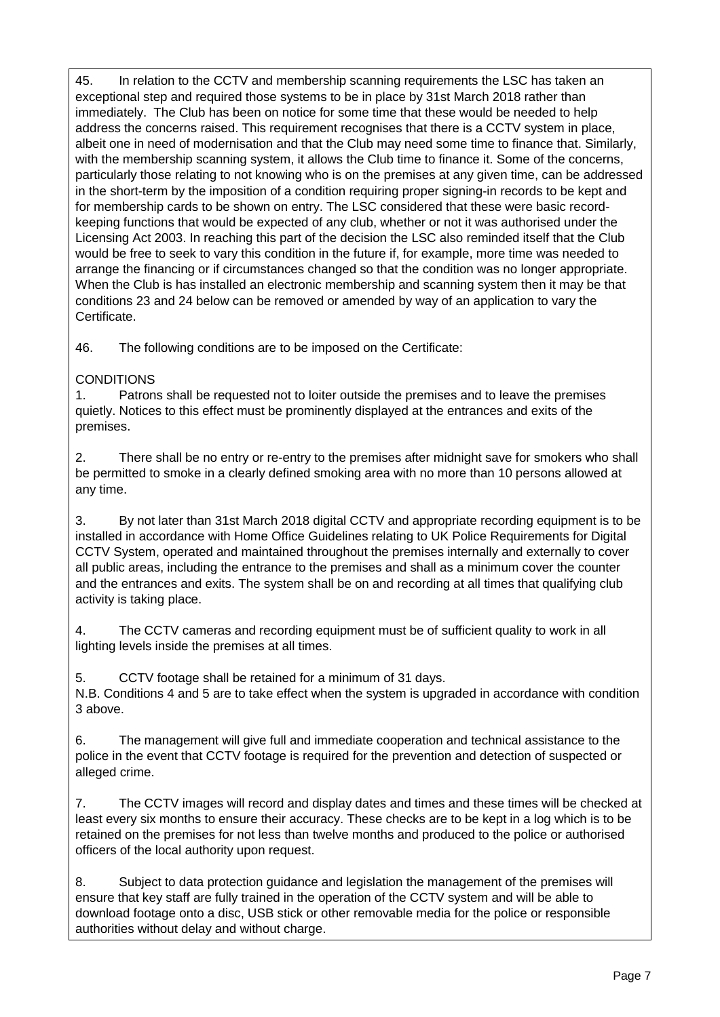45. In relation to the CCTV and membership scanning requirements the LSC has taken an exceptional step and required those systems to be in place by 31st March 2018 rather than immediately. The Club has been on notice for some time that these would be needed to help address the concerns raised. This requirement recognises that there is a CCTV system in place, albeit one in need of modernisation and that the Club may need some time to finance that. Similarly, with the membership scanning system, it allows the Club time to finance it. Some of the concerns, particularly those relating to not knowing who is on the premises at any given time, can be addressed in the short-term by the imposition of a condition requiring proper signing-in records to be kept and for membership cards to be shown on entry. The LSC considered that these were basic recordkeeping functions that would be expected of any club, whether or not it was authorised under the Licensing Act 2003. In reaching this part of the decision the LSC also reminded itself that the Club would be free to seek to vary this condition in the future if, for example, more time was needed to arrange the financing or if circumstances changed so that the condition was no longer appropriate. When the Club is has installed an electronic membership and scanning system then it may be that conditions 23 and 24 below can be removed or amended by way of an application to vary the **Certificate** 

46. The following conditions are to be imposed on the Certificate:

### **CONDITIONS**

1. Patrons shall be requested not to loiter outside the premises and to leave the premises quietly. Notices to this effect must be prominently displayed at the entrances and exits of the premises.

2. There shall be no entry or re-entry to the premises after midnight save for smokers who shall be permitted to smoke in a clearly defined smoking area with no more than 10 persons allowed at any time.

3. By not later than 31st March 2018 digital CCTV and appropriate recording equipment is to be installed in accordance with Home Office Guidelines relating to UK Police Requirements for Digital CCTV System, operated and maintained throughout the premises internally and externally to cover all public areas, including the entrance to the premises and shall as a minimum cover the counter and the entrances and exits. The system shall be on and recording at all times that qualifying club activity is taking place.

4. The CCTV cameras and recording equipment must be of sufficient quality to work in all lighting levels inside the premises at all times.

5. CCTV footage shall be retained for a minimum of 31 days.

N.B. Conditions 4 and 5 are to take effect when the system is upgraded in accordance with condition 3 above.

6. The management will give full and immediate cooperation and technical assistance to the police in the event that CCTV footage is required for the prevention and detection of suspected or alleged crime.

7. The CCTV images will record and display dates and times and these times will be checked at least every six months to ensure their accuracy. These checks are to be kept in a log which is to be retained on the premises for not less than twelve months and produced to the police or authorised officers of the local authority upon request.

8. Subject to data protection guidance and legislation the management of the premises will ensure that key staff are fully trained in the operation of the CCTV system and will be able to download footage onto a disc, USB stick or other removable media for the police or responsible authorities without delay and without charge.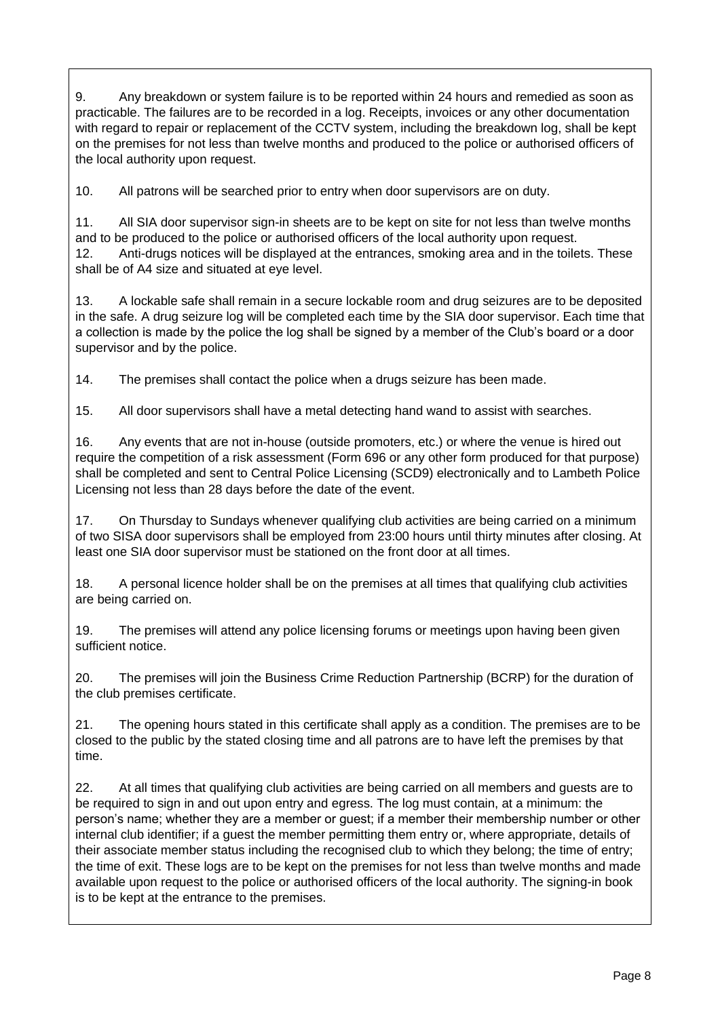9. Any breakdown or system failure is to be reported within 24 hours and remedied as soon as practicable. The failures are to be recorded in a log. Receipts, invoices or any other documentation with regard to repair or replacement of the CCTV system, including the breakdown log, shall be kept on the premises for not less than twelve months and produced to the police or authorised officers of the local authority upon request.

10. All patrons will be searched prior to entry when door supervisors are on duty.

11. All SIA door supervisor sign-in sheets are to be kept on site for not less than twelve months and to be produced to the police or authorised officers of the local authority upon request. 12. Anti-drugs notices will be displayed at the entrances, smoking area and in the toilets. These shall be of A4 size and situated at eye level.

13. A lockable safe shall remain in a secure lockable room and drug seizures are to be deposited in the safe. A drug seizure log will be completed each time by the SIA door supervisor. Each time that a collection is made by the police the log shall be signed by a member of the Club's board or a door supervisor and by the police.

14. The premises shall contact the police when a drugs seizure has been made.

15. All door supervisors shall have a metal detecting hand wand to assist with searches.

16. Any events that are not in-house (outside promoters, etc.) or where the venue is hired out require the competition of a risk assessment (Form 696 or any other form produced for that purpose) shall be completed and sent to Central Police Licensing (SCD9) electronically and to Lambeth Police Licensing not less than 28 days before the date of the event.

17. On Thursday to Sundays whenever qualifying club activities are being carried on a minimum of two SISA door supervisors shall be employed from 23:00 hours until thirty minutes after closing. At least one SIA door supervisor must be stationed on the front door at all times.

18. A personal licence holder shall be on the premises at all times that qualifying club activities are being carried on.

19. The premises will attend any police licensing forums or meetings upon having been given sufficient notice.

20. The premises will join the Business Crime Reduction Partnership (BCRP) for the duration of the club premises certificate.

21. The opening hours stated in this certificate shall apply as a condition. The premises are to be closed to the public by the stated closing time and all patrons are to have left the premises by that time.

22. At all times that qualifying club activities are being carried on all members and guests are to be required to sign in and out upon entry and egress. The log must contain, at a minimum: the person's name; whether they are a member or guest; if a member their membership number or other internal club identifier; if a guest the member permitting them entry or, where appropriate, details of their associate member status including the recognised club to which they belong; the time of entry; the time of exit. These logs are to be kept on the premises for not less than twelve months and made available upon request to the police or authorised officers of the local authority. The signing-in book is to be kept at the entrance to the premises.